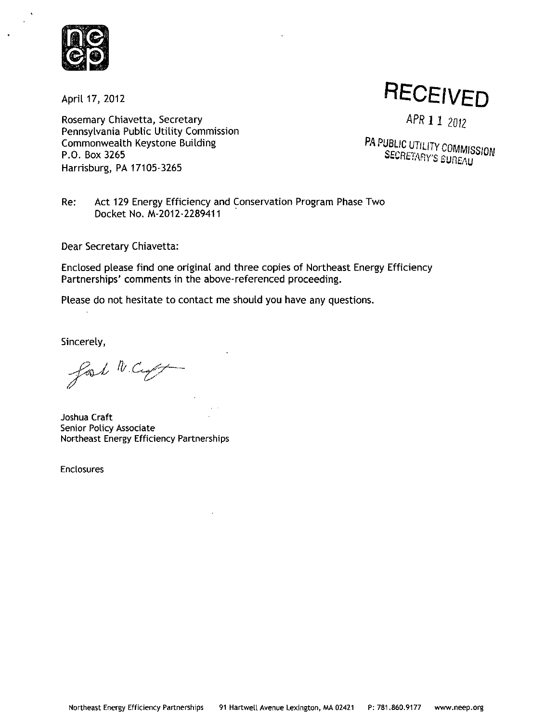

Rosemary Chiavetta, Secretary Pennsylvania Public Utility Commission Commonwealth Keystone Building<br>P.O. Box 3265<br>P.O. Box 3265 Harrisburg, PA 17105-3265

April 17, 2012<br>
Rosemary Chiavetta, Secretary<br>
Rosemary Chiavetta, Secretary<br>
Rosemary Chiavetta, Secretary

SECRETARY'S BUREAU

Re: Act 129 Energy Efficiency and Conservation Program Phase Two Docket No. M-2012-2289411

Dear Secretary Chiavetta:

Enclosed please find one original and three copies of Northeast Energy Efficiency Partnerships' comments in the above-referenced proceeding.

Please do not hesitate to contact me should you have any questions.

Sincerely,

food N. Caft

Joshua Craft Senior Policy Associate Northeast Energy Efficiency Partnerships

Enclosures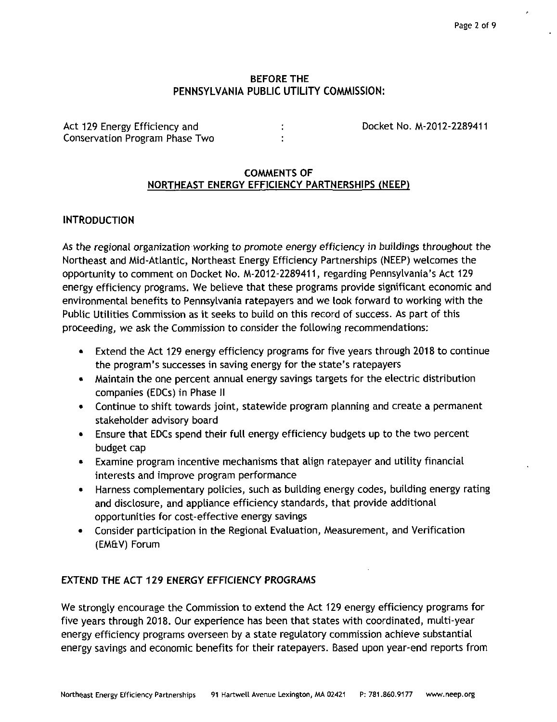# **BEFORE THE PENNSYLVANIA PUBLIC UTILITY COMMISSION:**

Act 129 Energy Efficiency and **1988** Contract 129 Energy Efficiency and **Exercise 2012-2289411** Conservation Program Phase Two :

### **COMMENTS OF NORTHEAST ENERGY EFFICIENCY PARTNERSHIPS (NEEP)**

# **INTRODUCTION**

As the regional organization working to promote energy efficiency in buildings throughout the Northeast and Mid-Atlantic, Northeast Energy Efficiency Partnerships (NEEP) welcomes the opportunity to comment on Docket No. M-2012-2289411, regarding Pennsylvania's Act 129 energy efficiency programs. We believe that these programs provide significant economic and environmental benefits to Pennsylvania ratepayers and we look forward to working with the Public Utilities Commission as it seeks to build on this record of success. As part of this proceeding, we ask the Commission to consider the following recommendations:

- Extend the Act 129 energy efficiency programs for five years through 2018 to continue the program's successes in saving energy for the state's ratepayers
- Maintain the one percent annual energy savings targets for the electric distribution companies (EDCs) in Phase II
- Continue to shift towards joint, statewide program planning and create a permanent stakeholder advisory board
- Ensure that EDCs spend their full energy efficiency budgets up to the two percent budget cap
- Examine program incentive mechanisms that align ratepayer and utility financial interests and improve program performance
- Harness complementary policies, such as building energy codes, building energy rating and disclosure, and appliance efficiency standards, that provide additional opportunities for cost-effective energy savings
- Consider participation in the Regional Evaluation, Measurement, and Verification (EM&V) Forum

# **EXTEND THE ACT 129 ENERGY EFFICIENCY PROGRAMS**

We strongly encourage the Commission to extend the Act 129 energy efficiency programs for five years through 2018. Our experience has been that states with coordinated, multi-year energy efficiency programs overseen by a state regulatory commission achieve substantial energy savings and economic benefits for their ratepayers. Based upon year-end reports from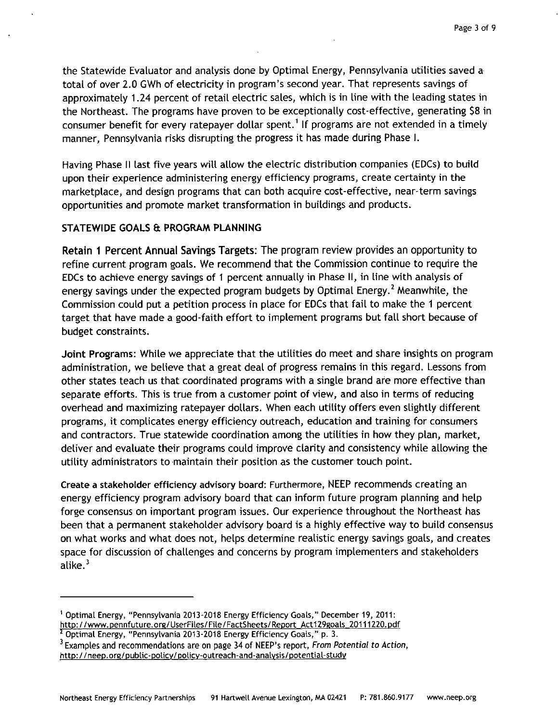the Statewide Evaluator and analysis done by Optimal Energy, Pennsylvania utilities saved a total of over 2.0 GWh of electricity in program's second year. That represents savings of approximately 1.24 percent of retail electric sales, which is in line with the leading states in the Northeast. The programs have proven to be exceptionally cost-effective, generating \$8 in consumer benefit for every ratepayer dollar spent. If programs are not extended in a timely manner, Pennsylvania risks disrupting the progress it has made during Phase I.

Having Phase II last five years will allow the electric distribution companies (EDCs) to build upon their experience administering energy efficiency programs, create certainty in the marketplace, and design programs that can both acquire cost-effective, near-term savings opportunities and promote market transformation in buildings and products.

### **STATEWIDE GOALS & PROGRAM PLANNING**

Retain 1 Percent Annual Savings Targets: The program review provides an opportunity to refine current program goals. We recommend that the Commission continue to require the EDCs to achieve energy savings of 1 percent annually in Phase II, in line with analysis of energy savings under the expected program budgets by Optimal Energy.' Meanwhile, the Commission could put a petition process in place for EDCs that fail to make the 1 percent target that have made a good-faith effort to implement programs but fall short because of budget constraints.

Joint Programs: While we appreciate that the utilities do meet and share insights on program administration, we believe that a great deal of progress remains in this regard. Lessons from other states teach us that coordinated programs with a single brand are more effective than separate efforts. This is true from a customer point of view, and also in terms of reducing overhead and maximizing ratepayer dollars. When each utility offers even slightly different programs, it complicates energy efficiency outreach, education and training for consumers and contractors. True statewide coordination among the utilities in how they plan, market, deliver and evaluate their programs could improve clarity and consistency while allowing the utility administrators to maintain their position as the customer touch point.

Create a stakeholder efficiency advisory board: Furthermore, NEEP recommends creating an energy efficiency program advisory board that can inform future program planning and help forge consensus on important program issues. Our experience throughout the Northeast has been that a permanent stakeholder advisory board is a highly effective way to build consensus on what works and what does not, helps determine realistic energy savings goals, and creates space for discussion of challenges and concerns by program implementers and stakeholders alike.<sup>3</sup>

<sup>1</sup> Optimal Energy, "Pennsylvania 2013-2018 Energy Efficiency Goals," December 19, 2011: http://www.pennfuture.org/UserFiles/File/FactSheets/ReDort Act129goals 20111220.pdf <sup>2</sup> Optimal Energy, "Pennsylvania 2013-2018 Energy Efficiency Goals," p. 3.

<sup>3</sup> Examples and recommendations are on page 34 of NEEP's report, From Potential to Action, http://neep.orq/public-policv/policv-outreach-and-analvsis/potential-studv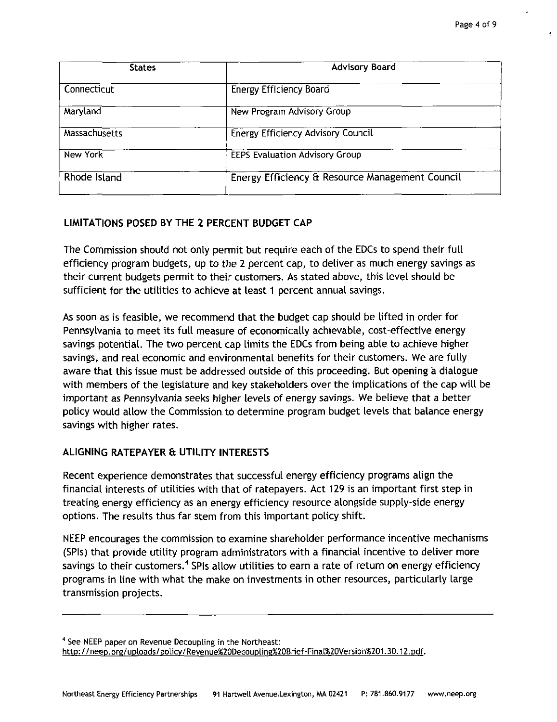| <b>States</b>        | <b>Advisory Board</b>                           |  |  |  |  |  |  |
|----------------------|-------------------------------------------------|--|--|--|--|--|--|
| Connecticut          | <b>Energy Efficiency Board</b>                  |  |  |  |  |  |  |
| Maryland             | New Program Advisory Group                      |  |  |  |  |  |  |
| <b>Massachusetts</b> | <b>Energy Efficiency Advisory Council</b>       |  |  |  |  |  |  |
| New York             | <b>EEPS Evaluation Advisory Group</b>           |  |  |  |  |  |  |
| Rhode Island         | Energy Efficiency & Resource Management Council |  |  |  |  |  |  |

### **LIMITATIONS POSED BY THE 2 PERCENT BUDGET CAP**

The Commission should not only permit but require each of the EDCs to spend their full efficiency program budgets, up to the 2 percent cap, to deliver as much energy savings as their current budgets permit to their customers. As stated above, this level should be sufficient for the utilities to achieve at least 1 percent annual savings.

As soon as is feasible, we recommend that the budget cap should be lifted in order for Pennsylvania to meet its full measure of economically achievable, cost-effective energy savings potential. The two percent cap limits the EDCs from being able to achieve higher savings, and real economic and environmental benefits for their customers. We are fully aware that this issue must be addressed outside of this proceeding. But opening a dialogue with members of the legislature and key stakeholders over the implications of the cap will be important as Pennsylvania seeks higher levels of energy savings. We believe that a better policy would allow the Commission to determine program budget levels that balance energy savings with higher rates.

# **ALIGNING RATEPAYER a UTILITY INTERESTS**

Recent experience demonstrates that successful energy efficiency programs align the financial interests of utilities with that of ratepayers. Act 129 is an important first step in treating energy efficiency as an energy efficiency resource alongside supply-side energy options. The results thus far stem from this important policy shift.

NEEP encourages the commission to examine shareholder performance incentive mechanisms (SPIs) that provide utility program administrators with a financial incentive to deliver more savings to their customers.<sup>4</sup> SPIs allow utilities to earn a rate of return on energy efficiency programs in line with what the make on investments in other resources, particularly large transmission projects.

<sup>4</sup> See NEEP paper on Revenue Decoupling in the Northeast: http://neep.org/uploads/policv/Revenue%20Decoupling%20Brief-Final%20Versioh%201.30.12.Ddf.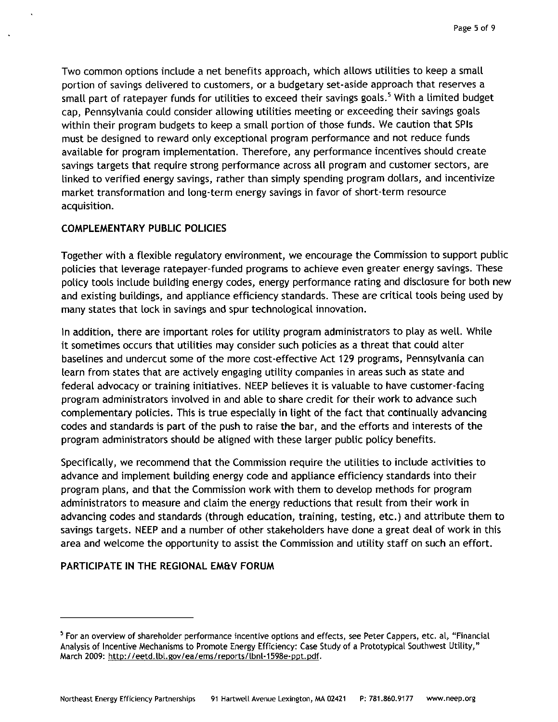Two common options include a net benefits approach, which allows utilities to keep a small portion of savings delivered to customers, or a budgetary set-aside approach that reserves a small part of ratepayer funds for utilities to exceed their savings goals.<sup>5</sup> With a limited budget cap, Pennsylvania could consider allowing utilities meeting or exceeding their savings goals within their program budgets to keep a small portion of those funds. We caution that SPIs must be designed to reward only exceptional program performance and not reduce funds available for program implementation. Therefore, any performance incentives should create savings targets that require strong performance across all program and customer sectors, are linked to verified energy savings, rather than simply spending program dollars, and incentivize market transformation and long-term energy savings in favor of short-term resource acquisition.

# **COMPLEMENTARY PUBLIC POLICIES**

Together with a flexible regulatory environment, we encourage the Commission to support public policies that leverage ratepayer-funded programs to achieve even greater energy savings. These policy tools include building energy codes, energy performance rating and disclosure for both new and existing buildings, and appliance efficiency standards. These are critical tools being used by many states that lock in savings and spur technological innovation.

In addition, there are important roles for utility program administrators to play as well. While it sometimes occurs that utilities may consider such policies as a threat that could alter baselines and undercut some of the more cost-effective Act 129 programs, Pennsylvania can learn from states that are actively engaging utility companies in areas such as state and federal advocacy or training initiatives. NEEP believes it is valuable to have customer-facing program administrators involved in and able to share credit for their work to advance such complementary policies. This is true especially in light of the fact that continually advancing codes and standards is part of the push to raise the bar, and the efforts and interests of the program administrators should be aligned with these larger public policy benefits.

Specifically, we recommend that the Commission require the utilities to include activities to advance and implement building energy code and appliance efficiency standards into their program plans, and that the Commission work with them to develop methods for program administrators to measure and claim the energy reductions that result from their work in advancing codes and standards (through education, training, testing, etc.) and attribute them to savings targets. NEEP and a number of other stakeholders have done a great deal of work in this area and welcome the opportunity to assist the Commission and utility staff on such an effort.

# **PARTICIPATE IN THE REGIONAL EM&V FORUM**

<sup>&</sup>lt;sup>5</sup> For an overview of shareholder performance incentive options and effects, see Peter Cappers, etc. al, "Financial Analysis of Incentive Mechanisms to Promote Energy Efficiency: Case Study of a Prototypical Southwest Utility," March 2009: http://eetd.lbl.gov/ea/ems/reports/lbnl-1598e-ppt.pdf.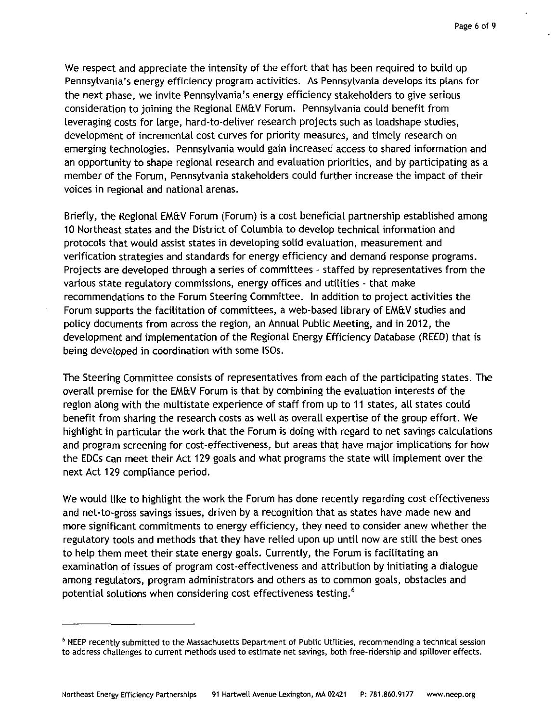We respect and appreciate the intensity of the effort that has been required to build up Pennsylvania's energy efficiency program activities. As Pennsylvania develops its plans for the next phase, we invite Pennsylvania's energy efficiency stakeholders to give serious consideration to joining the Regional EM&V Forum. Pennsylvania could benefit from leveraging costs for large, hard-to-deliver research projects such as loadshape studies, development of incremental cost curves for priority measures, and timely research on emerging technologies. Pennsylvania would gain increased access to shared information and an opportunity to shape regional research and evaluation priorities, and by participating as a member of the Forum, Pennsylvania stakeholders could further increase the impact of their voices in regional and national arenas.

Briefly, the Regional EM&V Forum (Forum) is a cost beneficial partnership established among 10 Northeast states and the District of Columbia to develop technical information and protocols that would assist states ih developing solid evaluation, measurement and verification strategies and standards for energy efficiency and demand response programs. Projects are developed through a series of committees - staffed by representatives from the various state regulatory commissions, energy offices and utilities - that make recommendations to the Forum Steering Committee. In addition to project activities the Forum supports the facilitation of committees, a web-based library of EM&V studies and policy documents from across the region, an Annual Public Meeting, and in 2012, the development and implementation of the Regional Energy Efficiency Database (REED) that is being developed in coordination with some ISOs.

The Steering Committee consists of representatives from each of the participating states. The overall premise for the EM&V Forum is that by combining the evaluation interests of the region along with the multistate experience of staff from up to 11 states, all states could benefit from sharing the research costs as well as overall expertise of the group effort. We highlight in particular the work that the Forum is doing with regard to net savings calculations and program screening for cost-effectiveness, but areas that have major implications for how the EDCs can meet their Act 129 goals and what programs the state will implement over the next Act 129 compliance period.

We would like to highlight the work the Forum has done recently regarding cost effectiveness and net-to-gross savings issues, driven by a recognition that as states have made new and more significant commitments to energy efficiency, they need to consider anew whether the regulatory tools and methods that they have relied upon up until now are still the best ones to help them meet their state energy goals. Currently, the Forum is facilitating an examination of issues of program cost-effectiveness and attribution by initiating a dialogue among regulators, program administrators and others as to common goals, obstacles and potential solutions when considering cost effectiveness testing.<sup>6</sup>

<sup>6</sup> NEEP recently submitted to the Massachusetts Department of Public Utilities, recommending a technical session to address challenges to current methods used to estimate net savings, both free-ridership and spillover effects.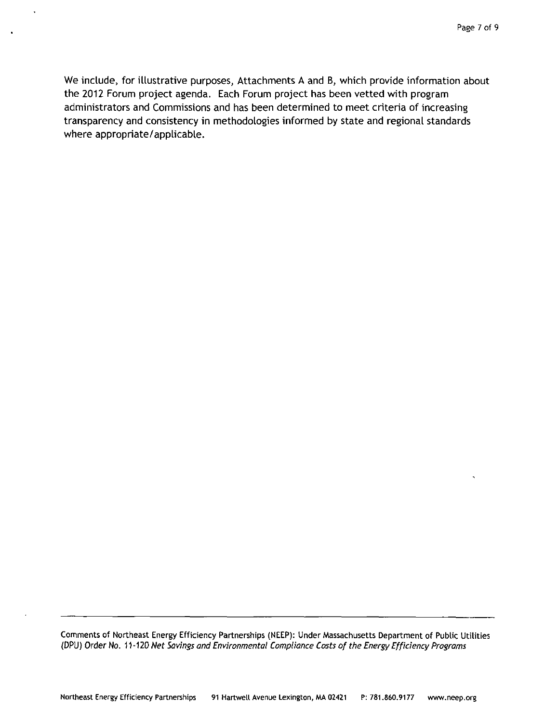We include, for illustrative purposes, Attachments A and B, which provide information about the 2012 Forum project agenda. Each Forum project has been vetted with program administrators and Commissions and has been determined to meet criteria of increasing transparency and consistency in methodologies informed by state and regional standards where appropriate/applicable.

Comments of Northeast Energy Efficiency Partnerships (NEEP): Under Massachusetts Department of Public Utilities (DPU) Order No. 11-120 Net Savings and Environmental Compliance Costs of the Energy Efficiency Programs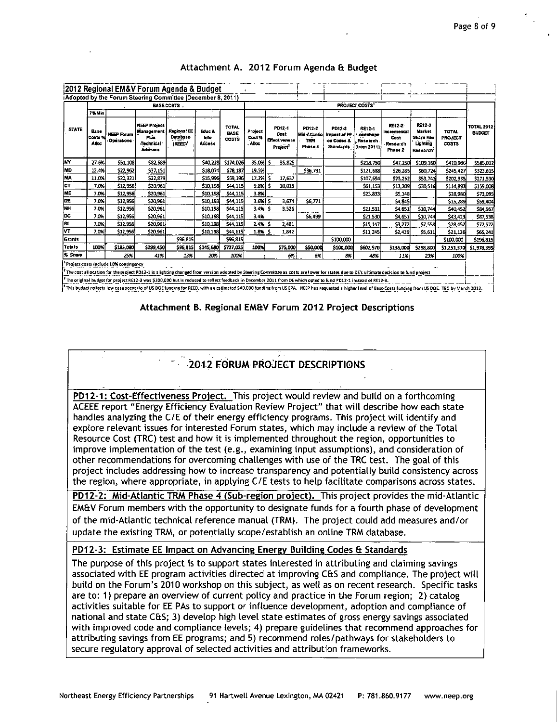|                                                                                                                                                                                                                                                                                                                                                                                                               | 2012 Regional EM&V Forum Agenda & Budget |                                        |                                                                                  |                                   |                                 |                                      |                              |                                                                |                                                 |                                                          |                                                |                                                      |                                                       |                                         |                                    |  |
|---------------------------------------------------------------------------------------------------------------------------------------------------------------------------------------------------------------------------------------------------------------------------------------------------------------------------------------------------------------------------------------------------------------|------------------------------------------|----------------------------------------|----------------------------------------------------------------------------------|-----------------------------------|---------------------------------|--------------------------------------|------------------------------|----------------------------------------------------------------|-------------------------------------------------|----------------------------------------------------------|------------------------------------------------|------------------------------------------------------|-------------------------------------------------------|-----------------------------------------|------------------------------------|--|
| Adopted by the Forum Steering Committee (December 8, 2011)                                                                                                                                                                                                                                                                                                                                                    |                                          |                                        |                                                                                  |                                   |                                 |                                      |                              |                                                                |                                                 |                                                          |                                                |                                                      |                                                       |                                         |                                    |  |
|                                                                                                                                                                                                                                                                                                                                                                                                               | BASE COSTS                               |                                        |                                                                                  |                                   |                                 |                                      |                              | <b>PROJECT COSTS<sup>1</sup></b>                               |                                                 |                                                          |                                                |                                                      |                                                       |                                         |                                    |  |
|                                                                                                                                                                                                                                                                                                                                                                                                               | 7 - Min                                  |                                        |                                                                                  |                                   |                                 |                                      |                              |                                                                |                                                 |                                                          |                                                |                                                      |                                                       |                                         |                                    |  |
| <b>STATE</b>                                                                                                                                                                                                                                                                                                                                                                                                  | Base<br>Costs %<br>Alloc                 | <b>NEEP Forum</b><br><b>Operations</b> | <b>NEEP Project</b><br><b>Management</b><br>Plus<br>Technical<br><b>Advisors</b> | Regional EE<br>Database<br>(REED) | Educ &<br>Info<br><b>Access</b> | <b>TOTAL</b><br><b>BASE</b><br>costs | Project<br>Cost %<br>. Alloc | PD12-1<br>Cost<br><b>Effectiveness</b><br>Project <sup>2</sup> | PD12-2<br>Mid-Atlantic<br><b>TRM</b><br>Phase 4 | PD12-3<br>impact of EE<br>on Codes &<br><b>Standards</b> | RE12-1<br>Loadshape<br>Research<br>Ifrom 2011) | RE12-2<br>Incremental<br>Cost<br>Rosearch<br>Phase 2 | RE12-3<br>Market<br>Share Res<br>Lichting<br>Research | <b>TOTAL</b><br>PROJECT<br><b>COSTS</b> | <b>TOTAL 2012</b><br><b>BUDGET</b> |  |
| lM                                                                                                                                                                                                                                                                                                                                                                                                            | 27.6%                                    | 551, 108                               | \$82,689                                                                         |                                   | \$40,228                        | \$174,026                            | 35.0%                        | 35,825                                                         |                                                 |                                                          | \$218,750                                      | \$47,250                                             | \$109,160                                             | \$410,986                               | \$585,012                          |  |
| ÍMD                                                                                                                                                                                                                                                                                                                                                                                                           | 12.4%                                    | \$22,962                               | 537,151                                                                          |                                   | \$18,074                        | \$78,187                             | 19.5%                        |                                                                | \$36,731                                        |                                                          | \$121,688                                      | \$26,285                                             | \$60,724                                              | \$245,427                               | \$323,615                          |  |
| MA                                                                                                                                                                                                                                                                                                                                                                                                            | 11.0%                                    | 520, 321                               | \$32,879                                                                         |                                   | \$15,996                        | 569.196                              | 17.2%                        | 17,637                                                         |                                                 |                                                          | \$107,694                                      | \$23,262                                             | \$53,741                                              | \$202,335                               | \$271,530                          |  |
| cт                                                                                                                                                                                                                                                                                                                                                                                                            | 7.0%                                     | 512,956                                | \$20,961                                                                         |                                   | \$10,198                        | \$44,115                             | 9.8%                         | 10,015                                                         |                                                 |                                                          | \$61,153                                       | \$13,209                                             | \$30,516                                              | \$114,893                               | \$159,008                          |  |
| IME.                                                                                                                                                                                                                                                                                                                                                                                                          | 7.0%                                     | \$12,956                               | \$20,961                                                                         |                                   | 510, 198                        | 544.115                              | 3.8%                         |                                                                |                                                 |                                                          | 523,833                                        | \$5,148                                              |                                                       | \$28,980                                | \$73,095                           |  |
| D€                                                                                                                                                                                                                                                                                                                                                                                                            | 7.0%                                     | 512,956                                | \$20,961                                                                         |                                   | 510.198                         | 544.115                              | 3.6%) S                      | 3,674                                                          | \$6,771                                         |                                                          |                                                | 54,845                                               |                                                       | \$15,289                                | \$59,404                           |  |
| 'NН                                                                                                                                                                                                                                                                                                                                                                                                           | 7.0%                                     | \$12,956                               | \$20,961                                                                         |                                   | \$10,198                        | \$44,115                             | 3.4% S                       | 3.526                                                          |                                                 |                                                          | \$21,531                                       | \$4,651                                              | \$10,744                                              | \$40.452                                | \$84,567                           |  |
| DC                                                                                                                                                                                                                                                                                                                                                                                                            | 7.0%                                     | \$12,956                               | \$20,961                                                                         |                                   | \$10,198                        | \$44,115                             | 3.4%                         |                                                                | \$6,499                                         |                                                          | \$21,530                                       | \$4,651                                              | \$10,744                                              | \$43.423                                | \$87,538                           |  |
| R!                                                                                                                                                                                                                                                                                                                                                                                                            | 7.0%                                     | \$12,956                               | \$20.961                                                                         |                                   | \$10,198                        | \$44,115                             | 2.4%                         | 2,481                                                          |                                                 |                                                          | \$15,147                                       | \$3,272                                              | \$7,558                                               | \$28,457                                | \$72,572                           |  |
| lvт                                                                                                                                                                                                                                                                                                                                                                                                           | 7.0%                                     | \$12,956                               | \$20.961                                                                         |                                   | \$10.198                        | \$44.115                             | 1.8%                         | 1.342<br>s                                                     |                                                 |                                                          | \$11,245                                       | \$2,429                                              | \$5,611                                               | \$21,126                                | \$65,241                           |  |
| lGrants                                                                                                                                                                                                                                                                                                                                                                                                       |                                          |                                        |                                                                                  | \$96,815                          |                                 | \$96,815                             |                              |                                                                |                                                 | \$100,000                                                |                                                |                                                      |                                                       | \$100,000                               | \$196,815                          |  |
| <b>Totals</b>                                                                                                                                                                                                                                                                                                                                                                                                 | 100%                                     | \$185,080                              | \$299,450                                                                        | \$96,815                          | \$145,680                       | \$727,025                            | 100%                         | \$75,000                                                       | \$50,000                                        | \$100,000                                                | \$602,570                                      | \$135,000                                            | \$288,800                                             | \$1,251,370                             | \$1,978,395                        |  |
| % Share                                                                                                                                                                                                                                                                                                                                                                                                       |                                          | 25%                                    | 41%                                                                              | 13%                               | 20%                             | 100%                                 |                              | 6%                                                             | 6%                                              | 8%                                                       | 48%                                            | 11%                                                  | 23%                                                   | 100K                                    |                                    |  |
| Project costs include 10% contingency<br>The cost allocation for the project PD12-1 is slighting changed from version adopted by Steering Committee as costs are lower for states due to DE's ultimate decision to fund project<br><sup>3</sup> The original hudget for project RF12-3 was S300 000 but is reduced to ceflect feedback in December 2011 from DF which poted to fund PD12-1 instead of RF12-3. |                                          |                                        |                                                                                  |                                   |                                 |                                      |                              |                                                                |                                                 |                                                          |                                                |                                                      |                                                       |                                         |                                    |  |

#### Attachment A. 2012 Forum Agenda & Budget

This budget reflects low case scenario of US DOE funding for REED, with an estimated \$40,000 funding from US EPA. NEEP has requested a higher level of Base Costs funding from US DOE. TBD by March 2012.

#### Attachment B. Regional EM&V Forum 2012 Project Descriptions

# 2012 FORUM PROJECT DESCRIPTIONS

PD12-1: Cost-Effectiveness Project. This project would review and build on a forthcoming ACEEE report "Energy Efficiency Evaluation Review Project" that will describe how each state handles analyzing the C/E of their energy efficiency programs. This project will identify and explore relevant issues for interested Forum states, which may include a review of the Total Resource Cost (TRC) test and how it is implemented throughout the region, opportunities to improve implementation of the test (e.g., examining input assumptions), and consideration of other recommendations for overcoming challenges with use of the TRC test. The goal of this project includes addressing how to increase transparency and potentially build consistency across the region, where appropriate, in applying C/E tests to help facilitate comparisons across states.

PD12-2: Mid-Atlantic TRM Phase 4 (Sub-region project). This project provides the mid-Atlantic EM&V Forum members with the opportunity to designate funds for a fourth phase of development of the mid-Atlantic technical reference manual (TRM). The project could add measures and/or update the existing TRM, or potentially scope/establish an online TRM database.

#### PD12-3: Estimate EE Impact on Advancing Energy Building Codes & Standards

The purpose of this project is to support states interested in attributing and claiming savings associated with EE program activities directed at improving C&S and compliance. The project will build on the Forum's 2010 workshop on this subject, as well as on recent research. Specific tasks are to: 1) prepare an overview of current policy and practice in the Forum region; 2) catalog activities suitable for EE PAs to support or influence development, adoption and compliance of national and state C&S; 3) develop high level state estimates of gross energy savings associated with improved code and compliance levels; 4) prepare guidelines that recommend approaches for attributing savings from EE programs; and 5) recommend roles/pathways for stakeholders to secure regulatory approval of selected activities and attribution frameworks.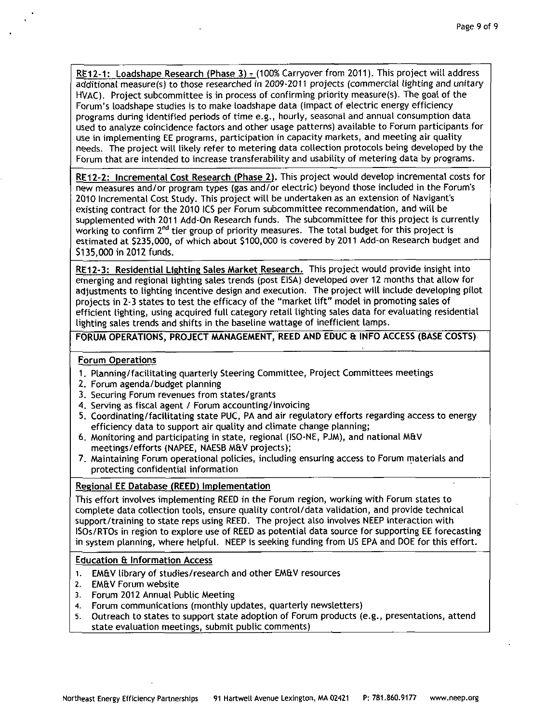RE12-1: Loadshape Research (Phase 3) - (100% Carryover from 2011). This project will address additional measure(s) to those researched in 2009-2011 projects (commercial lighting and unitary HVAC). Project subcommittee is in process of confirming priority measure(s). The goal of the Forum's loadshape studies is to make loadshape data (impact of electric energy efficiency programs during identified periods of time e.g., hourly, seasonal and annual consumption data used to analyze coincidence factors and other usage patterns) available to Forum participants for use in implementing EE programs, participation in capacity markets, and meeting air quality needs. The project will likely refer to metering data collection protocols being developed by the Forum that are intended to increase transferability and usability of metering data by programs.

RE12-2: Incremental Cost Research (Phase 2). This project would develop incremental costs for new measures and/or program types (gas and/or electric) beyond those included in the Forum's 2010 Incremental Cost Study. This project will be undertaken as an extension of Navigant's existing contract for the 2010 ICS per Forum subcommittee recommendation, and will be supplemented with 2011 Add-On Research funds. The subcommittee for this project is currently working to confirm 2<sup>nd</sup> tier group of priority measures. The total budget for this project is estimated at \$235,000, of which about \$100,000 is covered by 2011 Add-on Research budget and \$135,000 in 2012 funds.

RE12-3: Residential Lighting Sales Market Research. This project would provide insight into emerging and regional lighting sales trends (post EISA) developed over 12 months that allow for adjustments to lighting incentive design and execution. The project will include developing pilot projects in 2-3 states to test the efficacy of the "market lift" model in promoting sales of efficient lighting, using acquired full category retail lighting sales data for evaluating residential lighting sales trends and shifts in the baseline wattage of inefficient lamps.

FORUM OPERATIONS, PROJECT MANAGEMENT, REED AND EDUC & INFO ACCESS (BASE COSTS).

#### Forum Operations

- 1. Planning/facilitating quarterly Steering Committee, Project Committees meetings
- 2. Forum agenda/budget planning
- 3. Securing Forum revenues from states/grants
- 4. Serving as fiscal agent / Forum accounting/invoicing
- 5. Coordinating/facilitating state PUC, PA and air regulatory efforts regarding access to energy efficiency data to support air quality and climate change planning;
- 6. Monitoring and participating in state, regional (ISO-NE, PJM), and national M&V meetings/efforts (NAPEE, NAESB M&V projects);
- 7. Maintaining Forum operational policies, including ensuring access to Forum materials and protecting confidential information

### Regional EE Database (REED) Implementation

This effort involves implementing REED in the Forum region, working with Forum states to complete data collection tools, ensure quality control/data validation, and provide technical support/training to state reps using REED. The project also involves NEEP interaction with ISOs/RTOs in region to explore use of REED as potential data source for supporting EE forecasting in system planning, where helpful. NEEP is seeking funding from US EPA and DOE for this effort.

### Education & Information Access

- 1. EM&V library of studies/research and other EM&V resources
- 2. EM&V Forum website
- 3. Forum 2012 Annual Public Meeting
- 4. Forum communications (monthly updates, quarterly newsletters)
- 5. Outreach to states to support state adoption of Forum products (e.g., presentations, attend state evaluation meetings, submit public comments)